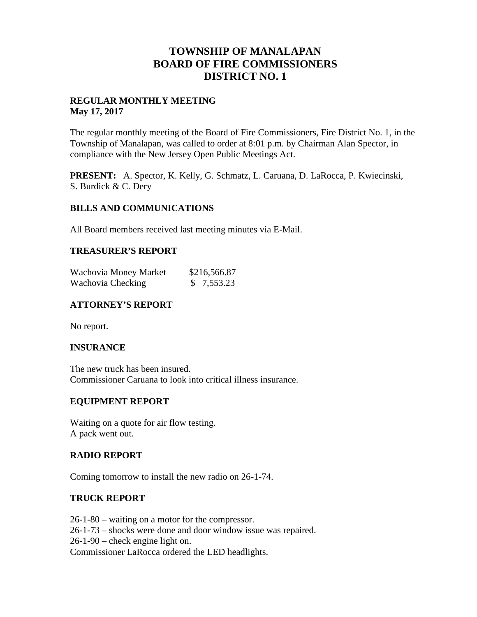## **TOWNSHIP OF MANALAPAN BOARD OF FIRE COMMISSIONERS DISTRICT NO. 1**

#### **REGULAR MONTHLY MEETING May 17, 2017**

The regular monthly meeting of the Board of Fire Commissioners, Fire District No. 1, in the Township of Manalapan, was called to order at 8:01 p.m. by Chairman Alan Spector, in compliance with the New Jersey Open Public Meetings Act.

**PRESENT:** A. Spector, K. Kelly, G. Schmatz, L. Caruana, D. LaRocca, P. Kwiecinski, S. Burdick & C. Dery

#### **BILLS AND COMMUNICATIONS**

All Board members received last meeting minutes via E-Mail.

#### **TREASURER'S REPORT**

| Wachovia Money Market | \$216,566.87 |
|-----------------------|--------------|
| Wachovia Checking     | \$7,553.23   |

## **ATTORNEY'S REPORT**

No report.

#### **INSURANCE**

The new truck has been insured. Commissioner Caruana to look into critical illness insurance.

#### **EQUIPMENT REPORT**

Waiting on a quote for air flow testing. A pack went out.

#### **RADIO REPORT**

Coming tomorrow to install the new radio on 26-1-74.

#### **TRUCK REPORT**

26-1-80 – waiting on a motor for the compressor. 26-1-73 – shocks were done and door window issue was repaired. 26-1-90 – check engine light on. Commissioner LaRocca ordered the LED headlights.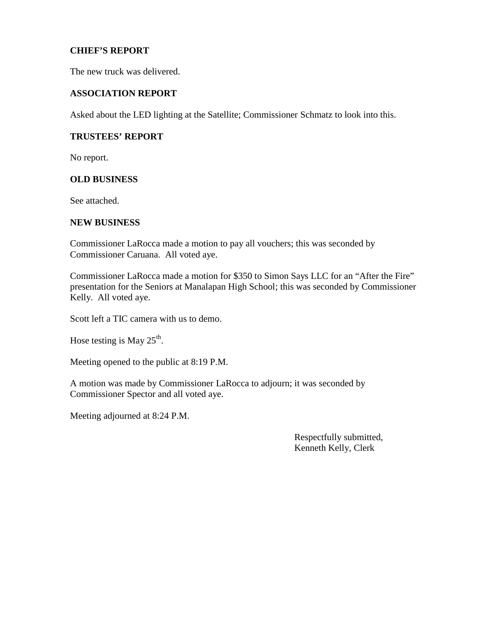### **CHIEF'S REPORT**

The new truck was delivered.

#### **ASSOCIATION REPORT**

Asked about the LED lighting at the Satellite; Commissioner Schmatz to look into this.

#### **TRUSTEES' REPORT**

No report.

#### **OLD BUSINESS**

See attached.

#### **NEW BUSINESS**

Commissioner LaRocca made a motion to pay all vouchers; this was seconded by Commissioner Caruana. All voted aye.

Commissioner LaRocca made a motion for \$350 to Simon Says LLC for an "After the Fire" presentation for the Seniors at Manalapan High School; this was seconded by Commissioner Kelly. All voted aye.

Scott left a TIC camera with us to demo.

Hose testing is May  $25^{\text{th}}$ .

Meeting opened to the public at 8:19 P.M.

A motion was made by Commissioner LaRocca to adjourn; it was seconded by Commissioner Spector and all voted aye.

Meeting adjourned at 8:24 P.M.

Respectfully submitted, Kenneth Kelly, Clerk